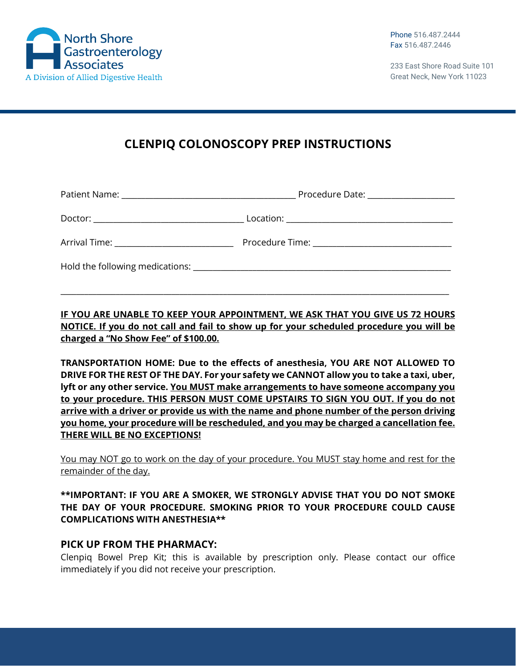

233 East Shore Road Suite 101 Great Neck, New York 11023

# **CLENPIQ COLONOSCOPY PREP INSTRUCTIONS**

|                                                                                                                                                                                                                                | Procedure Date: _____________________ |
|--------------------------------------------------------------------------------------------------------------------------------------------------------------------------------------------------------------------------------|---------------------------------------|
|                                                                                                                                                                                                                                |                                       |
| Arrival Time: _____________________________                                                                                                                                                                                    |                                       |
| Hold the following medications: Notified the state of the state of the state of the state of the state of the state of the state of the state of the state of the state of the state of the state of the state of the state of |                                       |

**IF YOU ARE UNABLE TO KEEP YOUR APPOINTMENT, WE ASK THAT YOU GIVE US 72 HOURS NOTICE. If you do not call and fail to show up for your scheduled procedure you will be charged a "No Show Fee" of \$100.00.**

\_\_\_\_\_\_\_\_\_\_\_\_\_\_\_\_\_\_\_\_\_\_\_\_\_\_\_\_\_\_\_\_\_\_\_\_\_\_\_\_\_\_\_\_\_\_\_\_\_\_\_\_\_\_\_\_\_\_\_\_\_\_\_\_\_\_\_\_\_\_\_\_\_\_\_\_\_\_\_\_\_\_\_\_\_\_\_\_\_\_\_\_\_\_\_\_\_\_

**TRANSPORTATION HOME: Due to the effects of anesthesia, YOU ARE NOT ALLOWED TO DRIVE FOR THE REST OF THE DAY. For your safety we CANNOT allow you to take a taxi, uber, lyft or any other service. You MUST make arrangements to have someone accompany you to your procedure. THIS PERSON MUST COME UPSTAIRS TO SIGN YOU OUT. If you do not arrive with a driver or provide us with the name and phone number of the person driving you home, your procedure will be rescheduled, and you may be charged a cancellation fee. THERE WILL BE NO EXCEPTIONS!**

You may NOT go to work on the day of your procedure. You MUST stay home and rest for the remainder of the day.

### **\*\*IMPORTANT: IF YOU ARE A SMOKER, WE STRONGLY ADVISE THAT YOU DO NOT SMOKE THE DAY OF YOUR PROCEDURE. SMOKING PRIOR TO YOUR PROCEDURE COULD CAUSE COMPLICATIONS WITH ANESTHESIA\*\***

### **PICK UP FROM THE PHARMACY:**

Clenpiq Bowel Prep Kit; this is available by prescription only. Please contact our office immediately if you did not receive your prescription.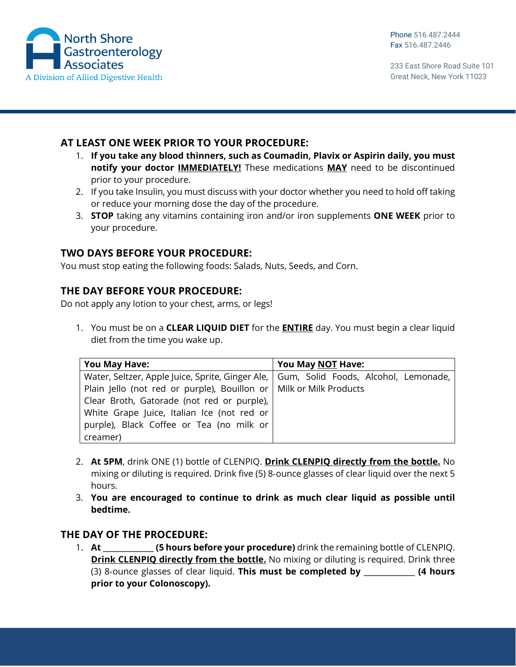

233 East Shore Road Suite 101 Great Neck, New York 11023

# **AT LEAST ONE WEEK PRIOR TO YOUR PROCEDURE:**

- 1. **If you take any blood thinners, such as Coumadin, Plavix or Aspirin daily, you must notify your doctor IMMEDIATELY!** These medications **MAY** need to be discontinued prior to your procedure.
- 2. If you take Insulin, you must discuss with your doctor whether you need to hold off taking or reduce your morning dose the day of the procedure.
- 3. **STOP** taking any vitamins containing iron and/or iron supplements **ONE WEEK** prior to your procedure.

## **TWO DAYS BEFORE YOUR PROCEDURE:**

You must stop eating the following foods: Salads, Nuts, Seeds, and Corn.

## **THE DAY BEFORE YOUR PROCEDURE:**

Do not apply any lotion to your chest, arms, or legs!

1. You must be on a **CLEAR LIQUID DIET** for the **ENTIRE** day. You must begin a clear liquid diet from the time you wake up.

| <b>You May Have:</b>                                                                    | You May NOT Have: |
|-----------------------------------------------------------------------------------------|-------------------|
| Water, Seltzer, Apple Juice, Sprite, Ginger Ale,   Gum, Solid Foods, Alcohol, Lemonade, |                   |
| Plain Jello (not red or purple), Bouillon or   Milk or Milk Products                    |                   |
| Clear Broth, Gatorade (not red or purple),                                              |                   |
| White Grape Juice, Italian Ice (not red or                                              |                   |
| purple), Black Coffee or Tea (no milk or                                                |                   |
| creamer)                                                                                |                   |

- 2. **At 5PM**, drink ONE (1) bottle of CLENPIQ. **Drink CLENPIQ directly from the bottle.** No mixing or diluting is required. Drink five (5) 8‐ounce glasses of clear liquid over the next 5 hours.
- 3. **You are encouraged to continue to drink as much clear liquid as possible until bedtime.**

### **THE DAY OF THE PROCEDURE:**

1. **At \_\_\_\_\_\_\_\_\_\_\_\_\_\_ (5 hours before your procedure)** drink the remaining bottle of CLENPIQ. **Drink CLENPIQ directly from the bottle.** No mixing or diluting is required. Drink three (3) 8‐ounce glasses of clear liquid. **This must be completed by \_\_\_\_\_\_\_\_\_\_\_\_\_\_ (4 hours prior to your Colonoscopy).**